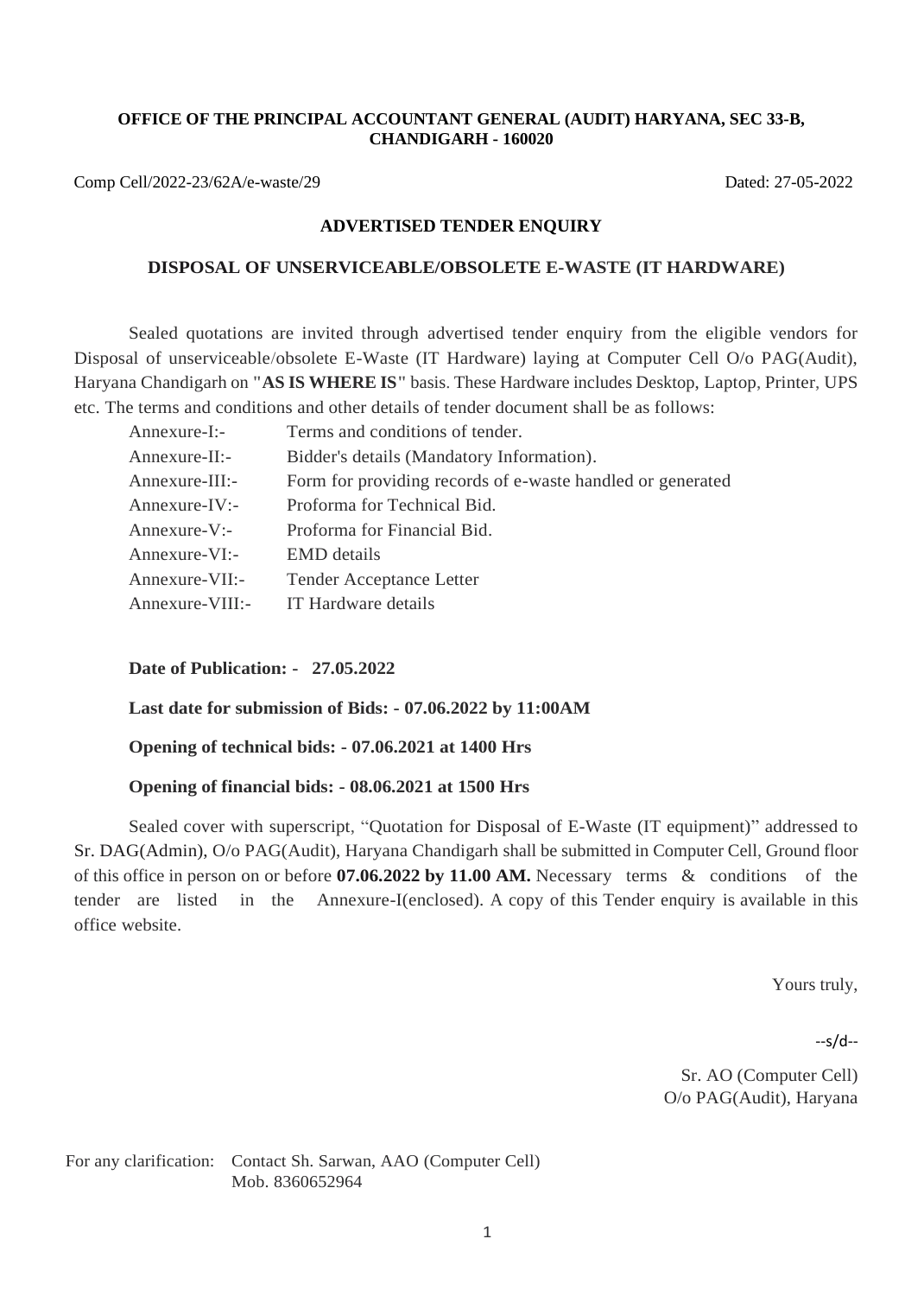#### **OFFICE OF THE PRINCIPAL ACCOUNTANT GENERAL (AUDIT) HARYANA, SEC 33-B, CHANDIGARH - 160020**

Comp Cell/2022-23/62A/e-waste/29 Dated: 27-05-2022

### **ADVERTISED TENDER ENQUIRY**

### **DISPOSAL OF UNSERVICEABLE/OBSOLETE E-WASTE (IT HARDWARE)**

Sealed quotations are invited through advertised tender enquiry from the eligible vendors for Disposal of unserviceable/obsolete E-Waste (IT Hardware) laying at Computer Cell O/o PAG(Audit), Haryana Chandigarh on **"AS IS WHERE IS"** basis. These Hardware includes Desktop, Laptop, Printer, UPS etc. The terms and conditions and other details of tender document shall be as follows:

| Annexure-I:-    | Terms and conditions of tender.                            |
|-----------------|------------------------------------------------------------|
| Annexure-II:-   | Bidder's details (Mandatory Information).                  |
| Annexure-III:-  | Form for providing records of e-waste handled or generated |
| Annexure-IV:-   | Proforma for Technical Bid.                                |
| Annexure-V:-    | Proforma for Financial Bid.                                |
| Annexure-VI:-   | <b>EMD</b> details                                         |
| Annexure-VII:-  | <b>Tender Acceptance Letter</b>                            |
| Annexure-VIII:- | IT Hardware details                                        |

**Date of Publication: - 27.05.2022**

**Last date for submission of Bids: - 07.06.2022 by 11:00AM** 

**Opening of technical bids: - 07.06.2021 at 1400 Hrs** 

## **Opening of financial bids: - 08.06.2021 at 1500 Hrs**

Sealed cover with superscript, "Quotation for Disposal of E-Waste (IT equipment)" addressed to Sr. DAG(Admin), O/o PAG(Audit), Haryana Chandigarh shall be submitted in Computer Cell, Ground floor of this office in person on or before **07.06.2022 by 11.00 AM.** Necessary terms & conditions of the tender are listed in the Annexure-I(enclosed). A copy of this Tender enquiry is available in this office website.

Yours truly,

--s/d--

Sr. AO (Computer Cell) O/o PAG(Audit), Haryana

For any clarification: Contact Sh. Sarwan, AAO (Computer Cell) Mob. 8360652964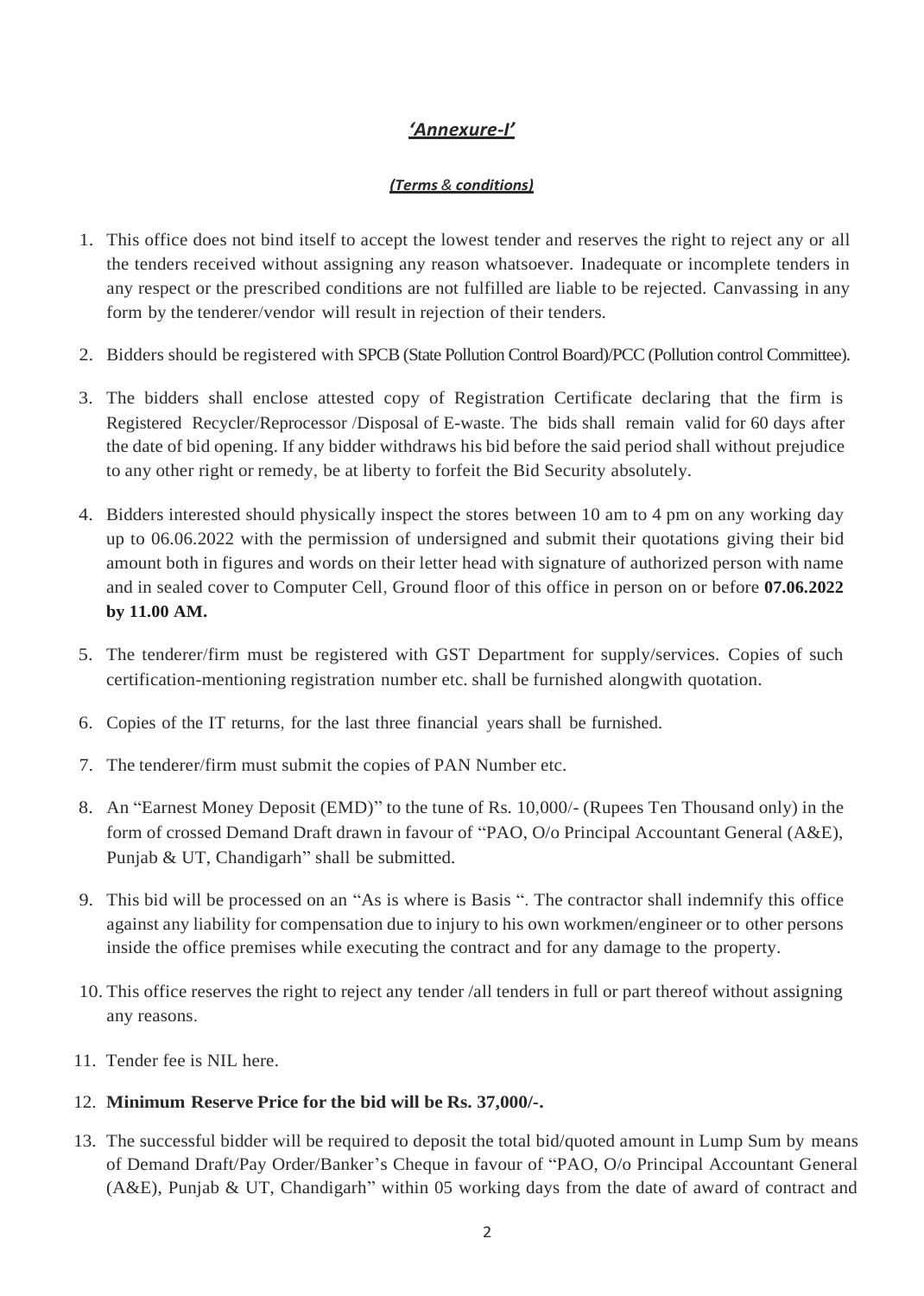# *'Annexure-I'*

# *(Terms & conditions)*

- 1. This office does not bind itself to accept the lowest tender and reserves the right to reject any or all the tenders received without assigning any reason whatsoever. Inadequate or incomplete tenders in any respect or the prescribed conditions are not fulfilled are liable to be rejected. Canvassing in any form by the tenderer/vendor will result in rejection of their tenders.
- 2. Bidders should be registered with SPCB (State Pollution Control Board)/PCC (Pollution control Committee).
- 3. The bidders shall enclose attested copy of Registration Certificate declaring that the firm is Registered Recycler/Reprocessor /Disposal of E-waste. The bids shall remain valid for 60 days after the date of bid opening. If any bidder withdraws his bid before the said period shall without prejudice to any other right or remedy, be at liberty to forfeit the Bid Security absolutely.
- 4. Bidders interested should physically inspect the stores between 10 am to 4 pm on any working day up to 06.06.2022 with the permission of undersigned and submit their quotations giving their bid amount both in figures and words on their letter head with signature of authorized person with name and in sealed cover to Computer Cell, Ground floor of this office in person on or before **07.06.2022 by 11.00 AM.**
- 5. The tenderer/firm must be registered with GST Department for supply/services. Copies of such certification-mentioning registration number etc. shall be furnished alongwith quotation.
- 6. Copies of the IT returns, for the last three financial years shall be furnished.
- 7. The tenderer/firm must submit the copies of PAN Number etc.
- 8. An "Earnest Money Deposit (EMD)" to the tune of Rs. 10,000/- (Rupees Ten Thousand only) in the form of crossed Demand Draft drawn in favour of "PAO, O/o Principal Accountant General (A&E), Punjab & UT, Chandigarh" shall be submitted.
- 9. This bid will be processed on an "As is where is Basis ". The contractor shall indemnify this office against any liability for compensation due to injury to his own workmen/engineer or to other persons inside the office premises while executing the contract and for any damage to the property.
- 10. This office reserves the right to reject any tender /all tenders in full or part thereof without assigning any reasons.
- 11. Tender fee is NIL here.

# 12. **Minimum Reserve Price for the bid will be Rs. 37,000/-.**

13. The successful bidder will be required to deposit the total bid/quoted amount in Lump Sum by means of Demand Draft/Pay Order/Banker's Cheque in favour of "PAO, O/o Principal Accountant General (A&E), Punjab & UT, Chandigarh" within 05 working days from the date of award of contract and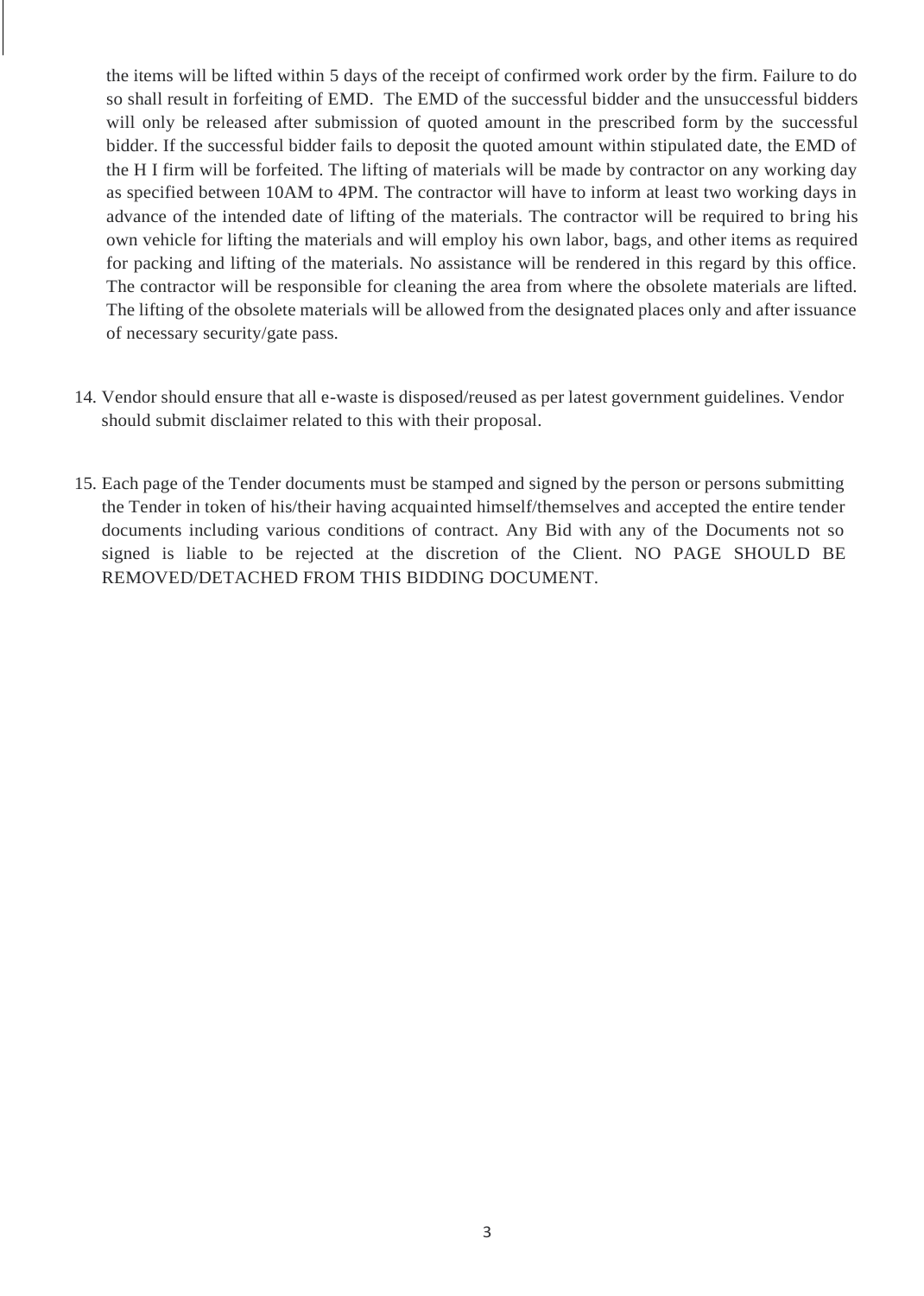the items will be lifted within 5 days of the receipt of confirmed work order by the firm. Failure to do so shall result in forfeiting of EMD. The EMD of the successful bidder and the unsuccessful bidders will only be released after submission of quoted amount in the prescribed form by the successful bidder. If the successful bidder fails to deposit the quoted amount within stipulated date, the EMD of the H I firm will be forfeited. The lifting of materials will be made by contractor on any working day as specified between 10AM to 4PM. The contractor will have to inform at least two working days in advance of the intended date of lifting of the materials. The contractor will be required to bring his own vehicle for lifting the materials and will employ his own labor, bags, and other items as required for packing and lifting of the materials. No assistance will be rendered in this regard by this office. The contractor will be responsible for cleaning the area from where the obsolete materials are lifted. The lifting of the obsolete materials will be allowed from the designated places only and after issuance of necessary security/gate pass.

- 14. Vendor should ensure that all e-waste is disposed/reused as per latest government guidelines. Vendor should submit disclaimer related to this with their proposal.
- 15. Each page of the Tender documents must be stamped and signed by the person or persons submitting the Tender in token of his/their having acquainted himself/themselves and accepted the entire tender documents including various conditions of contract. Any Bid with any of the Documents not so signed is liable to be rejected at the discretion of the Client. NO PAGE SHOULD BE REMOVED/DETACHED FROM THIS BIDDING DOCUMENT.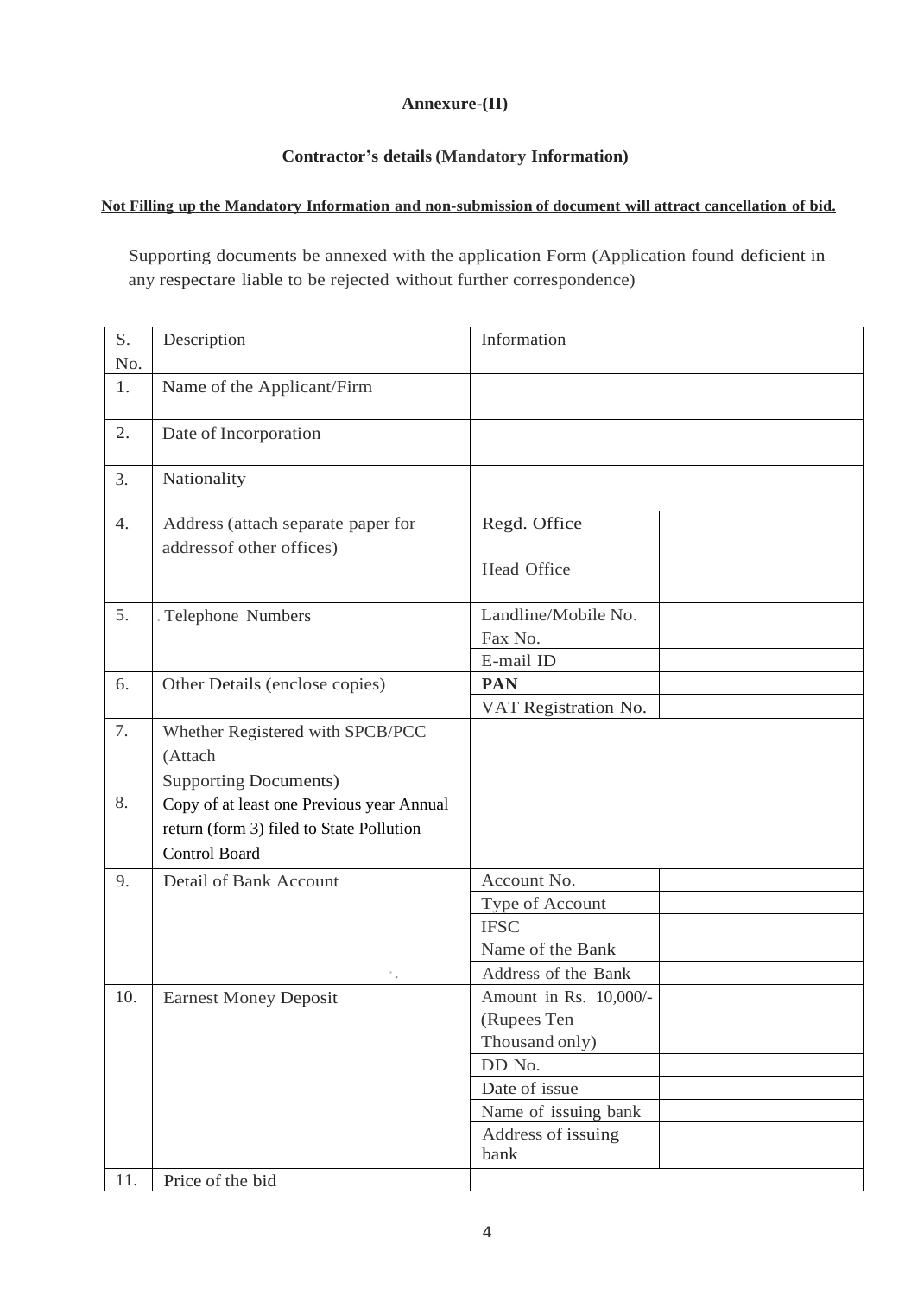# **Annexure-(II)**

# **Contractor's details (Mandatory Information)**

## **Not Filling up the Mandatory Information and non-submission of document will attract cancellation of bid.**

Supporting documents be annexed with the application Form (Application found deficient in any respectare liable to be rejected without further correspondence)

| S.<br>No. | Description                                                     | Information                |
|-----------|-----------------------------------------------------------------|----------------------------|
| 1.        | Name of the Applicant/Firm                                      |                            |
| 2.        | Date of Incorporation                                           |                            |
| 3.        | Nationality                                                     |                            |
| 4.        | Address (attach separate paper for<br>address of other offices) | Regd. Office               |
|           |                                                                 | Head Office                |
| 5.        | Telephone Numbers                                               | Landline/Mobile No.        |
|           |                                                                 | Fax No.                    |
|           |                                                                 | E-mail ID                  |
| 6.        | Other Details (enclose copies)                                  | <b>PAN</b>                 |
|           |                                                                 | VAT Registration No.       |
| 7.        | Whether Registered with SPCB/PCC                                |                            |
|           | (Attach                                                         |                            |
|           | <b>Supporting Documents)</b>                                    |                            |
| 8.        | Copy of at least one Previous year Annual                       |                            |
|           | return (form 3) filed to State Pollution                        |                            |
|           | <b>Control Board</b>                                            |                            |
| 9.        | Detail of Bank Account                                          | Account No.                |
|           |                                                                 | Type of Account            |
|           |                                                                 | <b>IFSC</b>                |
|           |                                                                 | Name of the Bank           |
|           |                                                                 | Address of the Bank        |
| 10.       | <b>Earnest Money Deposit</b>                                    | Amount in Rs. 10,000/-     |
|           |                                                                 | (Rupees Ten                |
|           |                                                                 | Thousand only)             |
|           |                                                                 | DD No.                     |
|           |                                                                 | Date of issue              |
|           |                                                                 | Name of issuing bank       |
|           |                                                                 | Address of issuing<br>bank |
| 11.       | Price of the bid                                                |                            |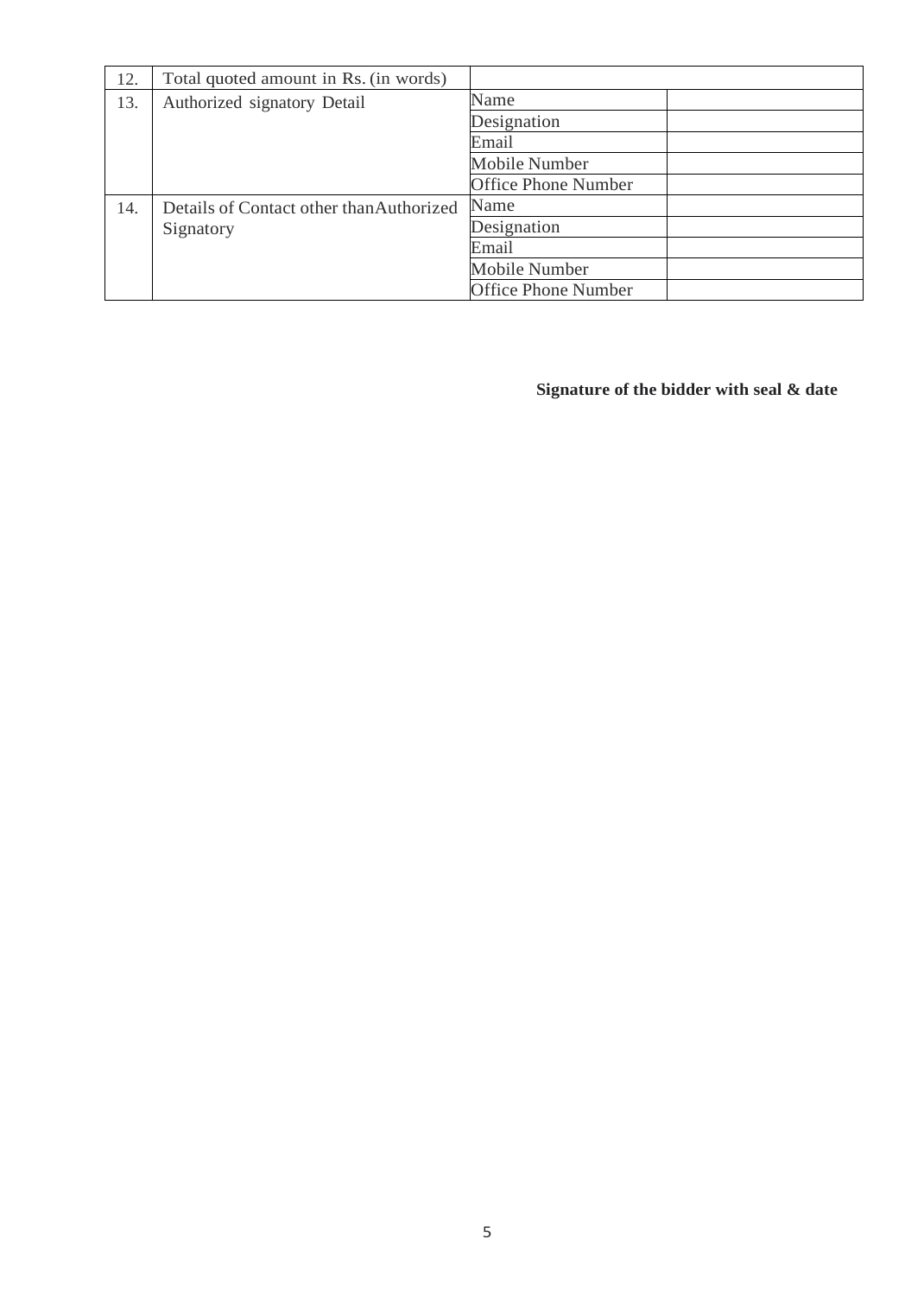| 12. | Total quoted amount in Rs. (in words)    |                            |  |
|-----|------------------------------------------|----------------------------|--|
| 13. | Authorized signatory Detail              | Name                       |  |
|     |                                          | Designation                |  |
|     |                                          | Email                      |  |
|     |                                          | <b>Mobile Number</b>       |  |
|     |                                          | <b>Office Phone Number</b> |  |
| 14. | Details of Contact other than Authorized | Name                       |  |
|     | Signatory                                | Designation                |  |
|     |                                          | Email                      |  |
|     |                                          | <b>Mobile Number</b>       |  |
|     |                                          | <b>Office Phone Number</b> |  |

**Signature of the bidder with seal & date**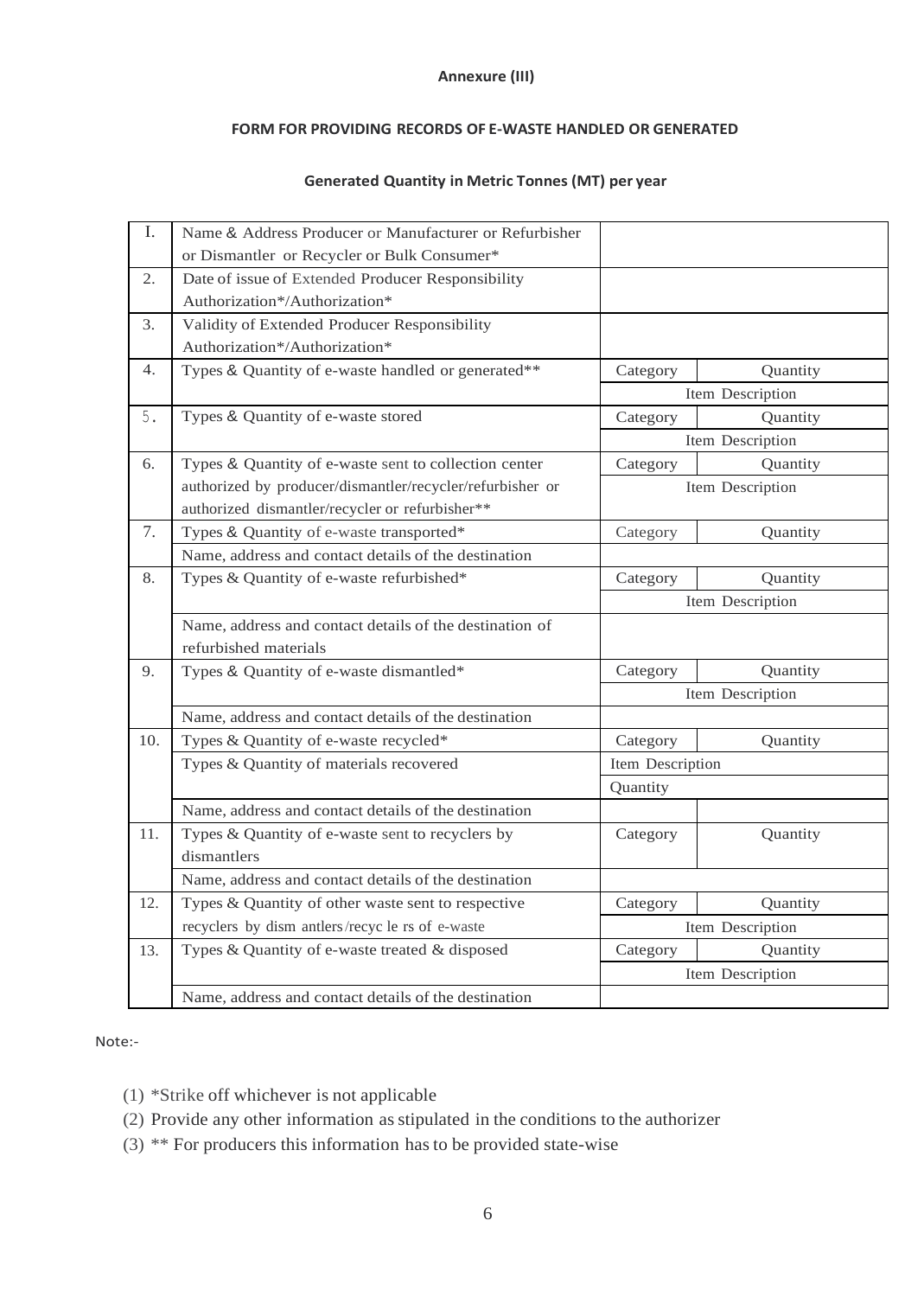### **Annexure (III)**

### **FORM FOR PROVIDING RECORDS OF E-WASTE HANDLED OR GENERATED**

## **Generated Quantity in Metric Tonnes (MT) per year**

| I.  | Name & Address Producer or Manufacturer or Refurbisher    |                  |                  |
|-----|-----------------------------------------------------------|------------------|------------------|
|     | or Dismantler or Recycler or Bulk Consumer*               |                  |                  |
| 2.  | Date of issue of Extended Producer Responsibility         |                  |                  |
|     | Authorization*/Authorization*                             |                  |                  |
| 3.  | Validity of Extended Producer Responsibility              |                  |                  |
|     | Authorization*/Authorization*                             |                  |                  |
| 4.  | Types & Quantity of e-waste handled or generated**        | Category         | Quantity         |
|     |                                                           |                  | Item Description |
| 5.  | Types & Quantity of e-waste stored                        | Category         | Quantity         |
|     |                                                           |                  | Item Description |
| 6.  | Types & Quantity of e-waste sent to collection center     | Category         | Quantity         |
|     | authorized by producer/dismantler/recycler/refurbisher or |                  | Item Description |
|     | authorized dismantler/recycler or refurbisher**           |                  |                  |
| 7.  | Types & Quantity of e-waste transported*                  | Category         | Quantity         |
|     | Name, address and contact details of the destination      |                  |                  |
| 8.  | Types & Quantity of e-waste refurbished*                  | Category         | Quantity         |
|     |                                                           |                  | Item Description |
|     | Name, address and contact details of the destination of   |                  |                  |
|     | refurbished materials                                     |                  |                  |
| 9.  | Types & Quantity of e-waste dismantled*                   | Category         | Quantity         |
|     |                                                           |                  | Item Description |
|     | Name, address and contact details of the destination      |                  |                  |
| 10. | Types & Quantity of e-waste recycled*                     | Category         | Quantity         |
|     | Types & Quantity of materials recovered                   | Item Description |                  |
|     |                                                           | Quantity         |                  |
|     | Name, address and contact details of the destination      |                  |                  |
| 11. | Types & Quantity of e-waste sent to recyclers by          | Category         | Quantity         |
|     | dismantlers                                               |                  |                  |
|     | Name, address and contact details of the destination      |                  |                  |
| 12. | Types & Quantity of other waste sent to respective        | Category         | Quantity         |
|     | recyclers by dism antlers/recycle rs of e-waste           |                  | Item Description |
| 13. | Types & Quantity of e-waste treated & disposed            | Category         | Quantity         |
|     |                                                           |                  | Item Description |
|     | Name, address and contact details of the destination      |                  |                  |

#### Note:-

- (1) \*Strike off whichever is not applicable
- (2) Provide any other information as stipulated in the conditions to the authorizer
- (3) \*\* For producers this information hasto be provided state-wise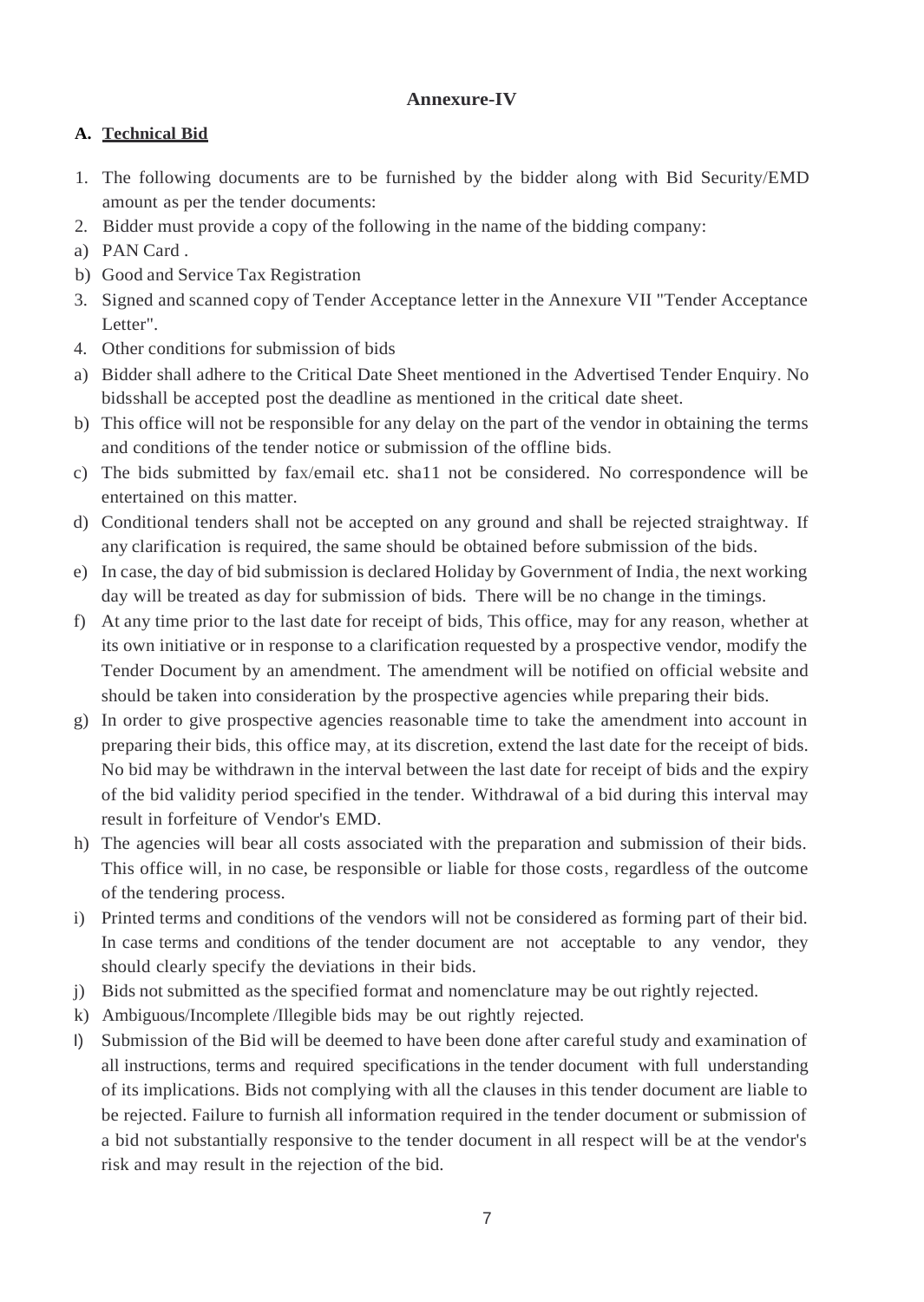# **Annexure-IV**

# **A. Technical Bid**

- 1. The following documents are to be furnished by the bidder along with Bid Security/EMD amount as per the tender documents:
- 2. Bidder must provide a copy of the following in the name of the bidding company:
- a) PAN Card .
- b) Good and Service Tax Registration
- 3. Signed and scanned copy of Tender Acceptance letter in the Annexure VII "Tender Acceptance Letter".
- 4. Other conditions for submission of bids
- a) Bidder shall adhere to the Critical Date Sheet mentioned in the Advertised Tender Enquiry. No bidsshall be accepted post the deadline as mentioned in the critical date sheet.
- b) This office will not be responsible for any delay on the part of the vendor in obtaining the terms and conditions of the tender notice or submission of the offline bids.
- c) The bids submitted by fax/email etc. sha11 not be considered. No correspondence will be entertained on this matter.
- d) Conditional tenders shall not be accepted on any ground and shall be rejected straightway. If any clarification is required, the same should be obtained before submission of the bids.
- e) In case, the day of bid submission is declared Holiday by Government of India, the next working day will be treated as day for submission of bids. There will be no change in the timings.
- f) At any time prior to the last date for receipt of bids, This office, may for any reason, whether at its own initiative or in response to a clarification requested by a prospective vendor, modify the Tender Document by an amendment. The amendment will be notified on official website and should be taken into consideration by the prospective agencies while preparing their bids.
- g) In order to give prospective agencies reasonable time to take the amendment into account in preparing their bids, this office may, at its discretion, extend the last date for the receipt of bids. No bid may be withdrawn in the interval between the last date for receipt of bids and the expiry of the bid validity period specified in the tender. Withdrawal of a bid during this interval may result in forfeiture of Vendor's EMD.
- h) The agencies will bear all costs associated with the preparation and submission of their bids. This office will, in no case, be responsible or liable for those costs, regardless of the outcome of the tendering process.
- i) Printed terms and conditions of the vendors will not be considered as forming part of their bid. In case terms and conditions of the tender document are not acceptable to any vendor, they should clearly specify the deviations in their bids.
- j) Bids not submitted as the specified format and nomenclature may be out rightly rejected.
- k) Ambiguous/Incomplete /Illegible bids may be out rightly rejected.
- I) Submission of the Bid will be deemed to have been done after careful study and examination of all instructions, terms and required specifications in the tender document with full understanding of its implications. Bids not complying with all the clauses in this tender document are liable to be rejected. Failure to furnish all information required in the tender document or submission of a bid not substantially responsive to the tender document in all respect will be at the vendor's risk and may result in the rejection of the bid.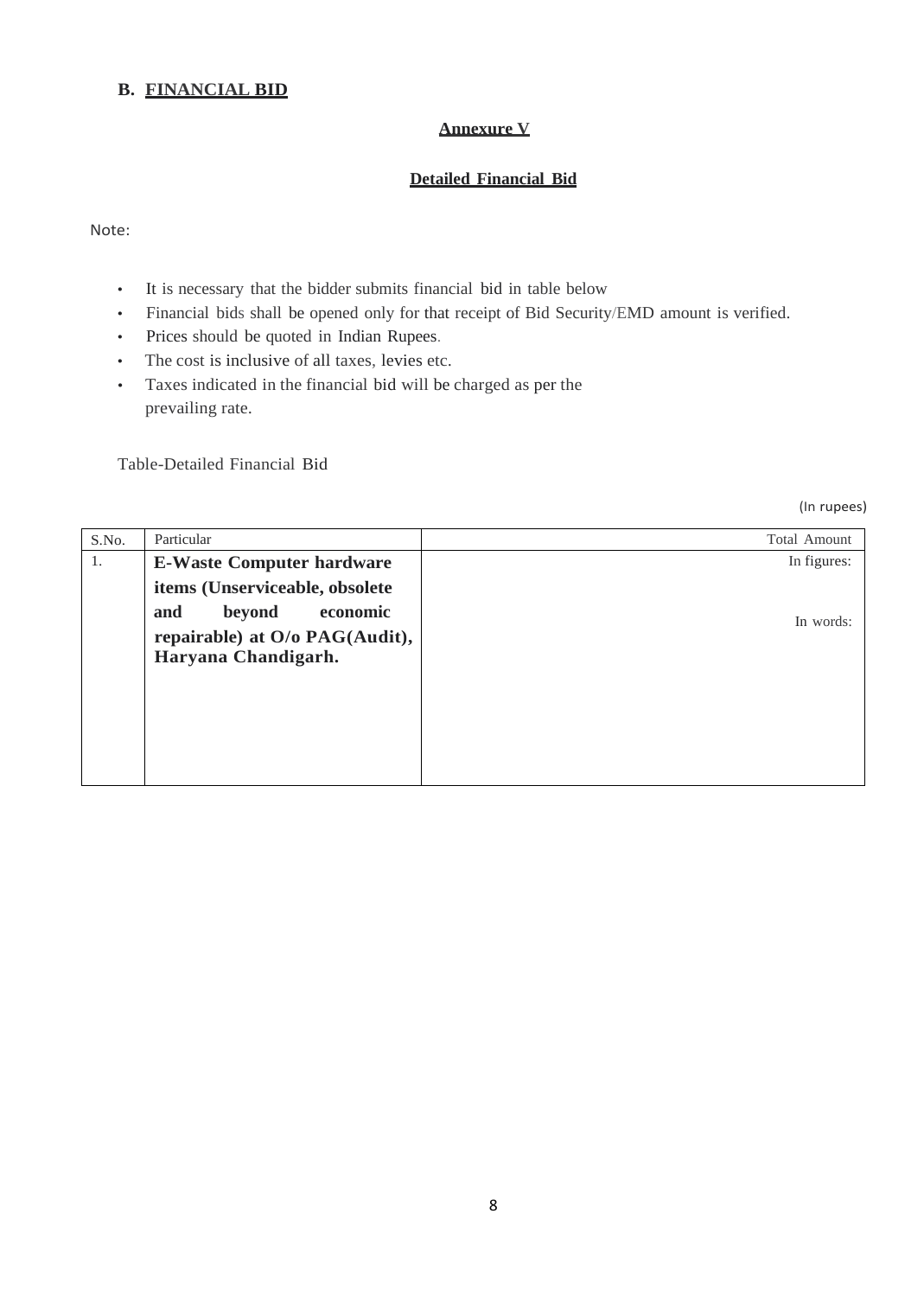# **B. FINANCIAL BID**

## **Annexure V**

## **Detailed Financial Bid**

Note:

- It is necessary that the bidder submits financial bid in table below
- Financial bids shall be opened only for that receipt of Bid Security/EMD amount is verified.
- Prices should be quoted in Indian Rupees.
- The cost is inclusive of all taxes, levies etc.
- Taxes indicated in the financial bid will be charged as per the prevailing rate.

Table-Detailed Financial Bid

(In rupees)

| S.No. | Particular                       | <b>Total Amount</b> |
|-------|----------------------------------|---------------------|
| 1.    | <b>E-Waste Computer hardware</b> | In figures:         |
|       | items (Unserviceable, obsolete   |                     |
|       | beyond<br>economic<br>and        | In words:           |
|       | repairable) at O/o PAG(Audit),   |                     |
|       | Haryana Chandigarh.              |                     |
|       |                                  |                     |
|       |                                  |                     |
|       |                                  |                     |
|       |                                  |                     |
|       |                                  |                     |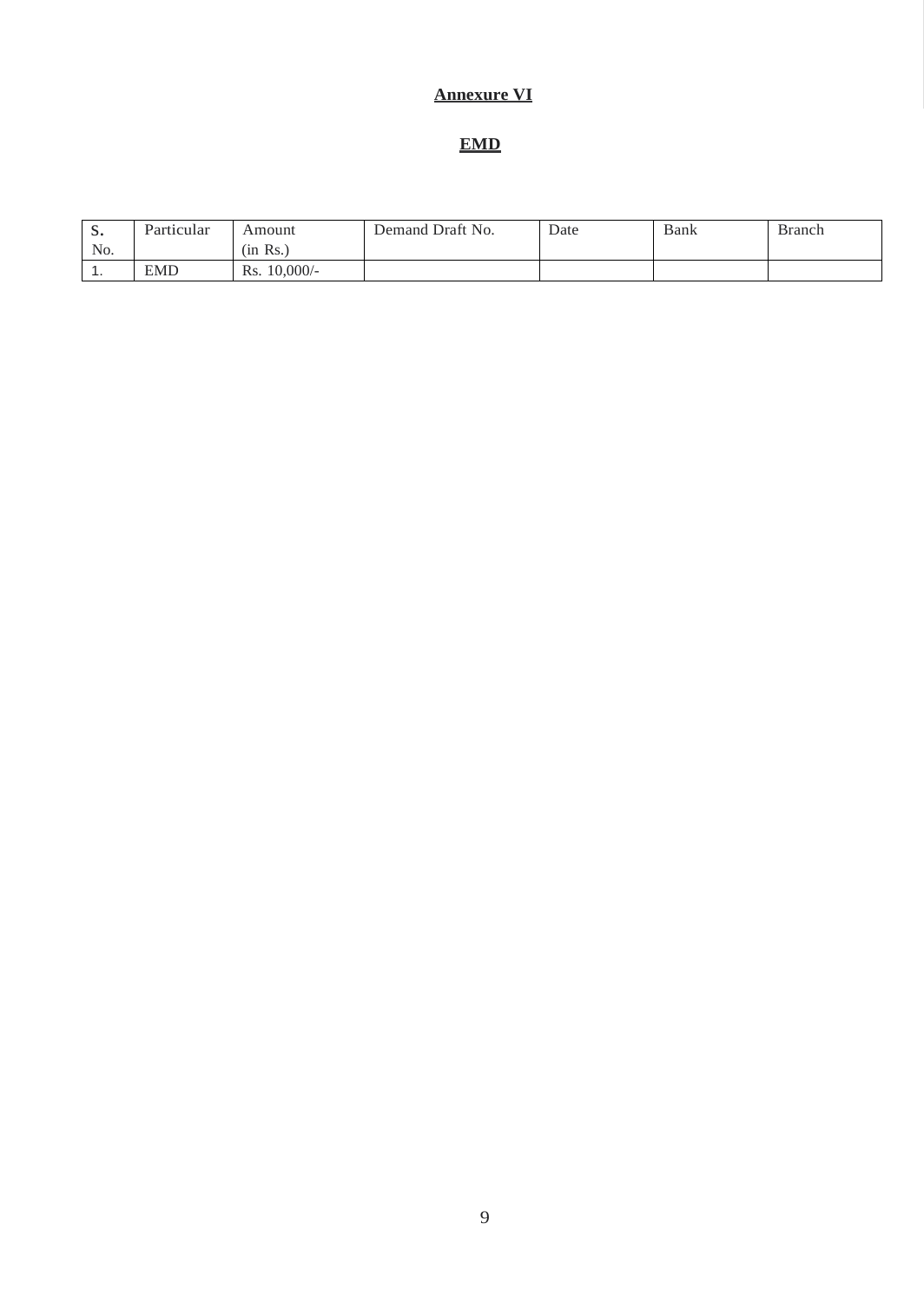# **Annexure VI**

# **EMD**

| $\Gamma$<br>⋼. | Particular | Amount            | Demand Draft No. | Date | Bank | <b>Branch</b> |
|----------------|------------|-------------------|------------------|------|------|---------------|
| No.            |            | (in Rs.)          |                  |      |      |               |
| . .            | <b>EMD</b> | $10,000/-$<br>Rs. |                  |      |      |               |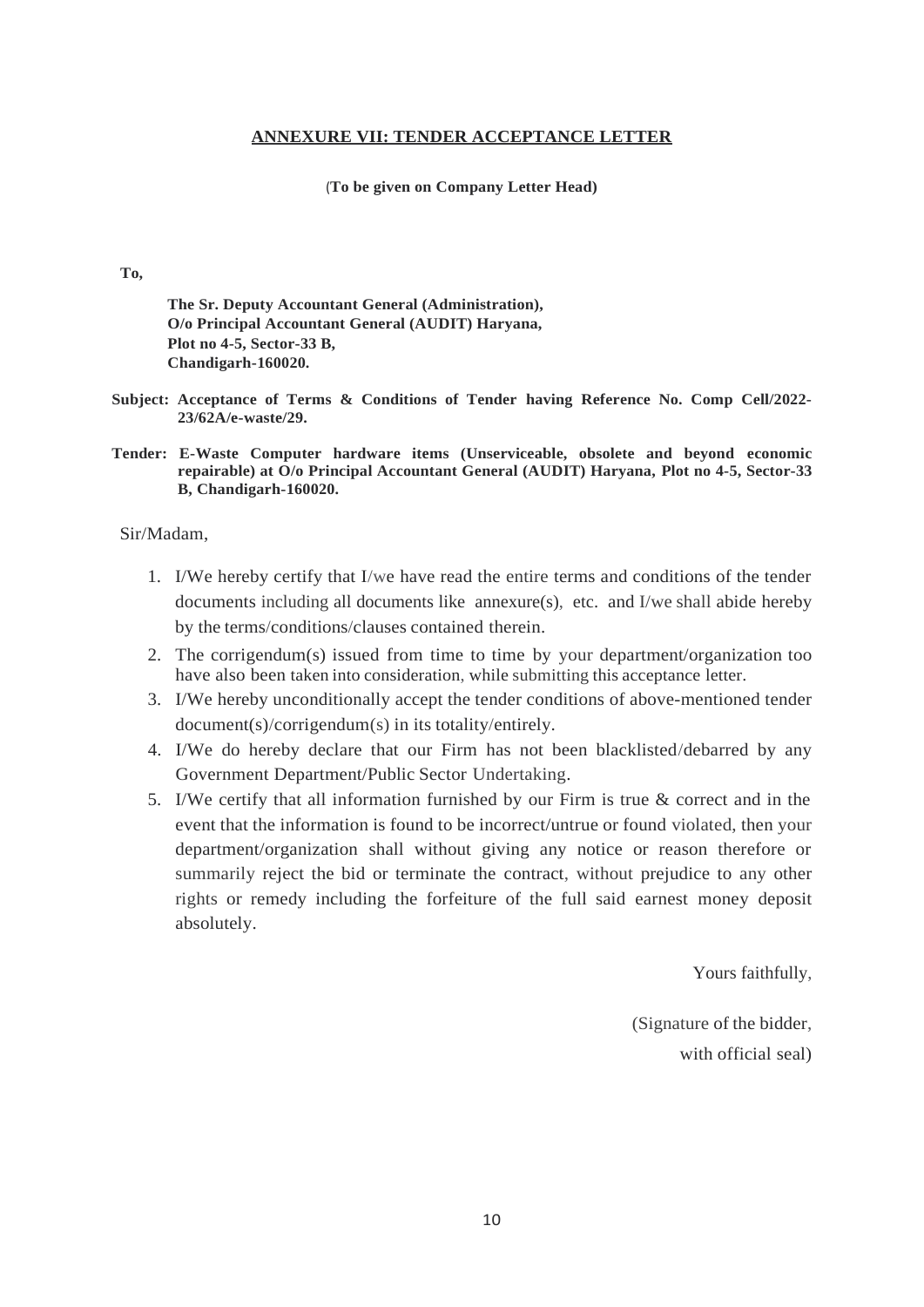#### **ANNEXURE VII: TENDER ACCEPTANCE LETTER**

(**To be given on Company Letter Head)**

#### **To,**

**The Sr. Deputy Accountant General (Administration), O/o Principal Accountant General (AUDIT) Haryana, Plot no 4-5, Sector-33 B, Chandigarh-160020.**

- **Subject: Acceptance of Terms & Conditions of Tender having Reference No. Comp Cell/2022- 23/62A/e-waste/29.**
- **Tender: E-Waste Computer hardware items (Unserviceable, obsolete and beyond economic repairable) at O/o Principal Accountant General (AUDIT) Haryana, Plot no 4-5, Sector-33 B, Chandigarh-160020.**

#### Sir/Madam,

- 1. I/We hereby certify that I/we have read the entire terms and conditions of the tender documents including all documents like annexure(s), etc. and I/we shall abide hereby by the terms/conditions/clauses contained therein.
- 2. The corrigendum(s) issued from time to time by your department/organization too have also been taken into consideration, while submitting this acceptance letter.
- 3. I/We hereby unconditionally accept the tender conditions of above-mentioned tender document(s)/corrigendum(s) in its totality/entirely.
- 4. I/We do hereby declare that our Firm has not been blacklisted/debarred by any Government Department/Public Sector Undertaking.
- 5. I/We certify that all information furnished by our Firm is true & correct and in the event that the information is found to be incorrect/untrue or found violated, then your department/organization shall without giving any notice or reason therefore or summarily reject the bid or terminate the contract, without prejudice to any other rights or remedy including the forfeiture of the full said earnest money deposit absolutely.

Yours faithfully,

(Signature of the bidder, with official seal)